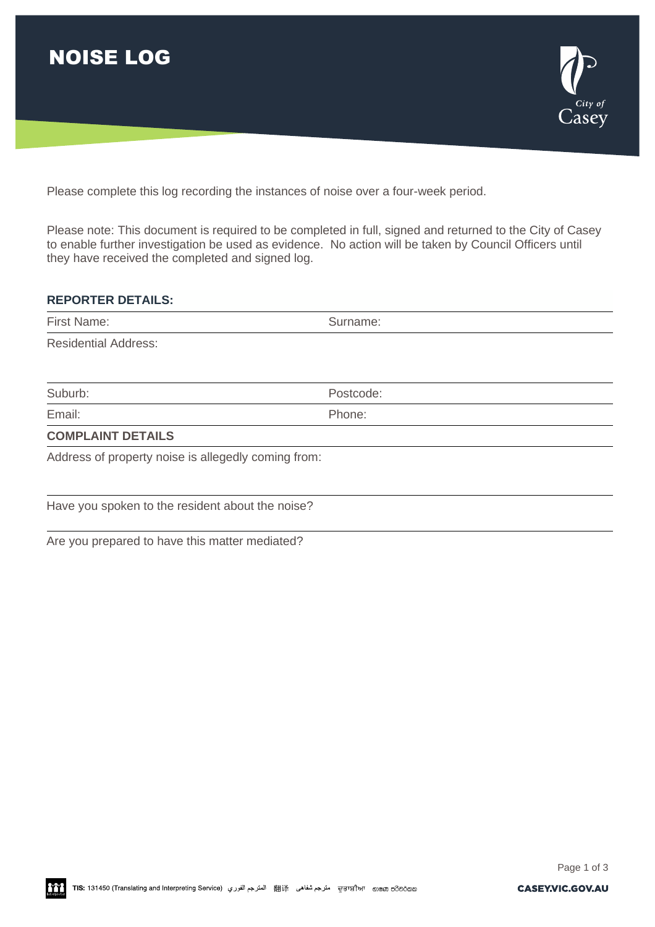



Please complete this log recording the instances of noise over a four-week period.

Please note: This document is required to be completed in full, signed and returned to the City of Casey to enable further investigation be used as evidence. No action will be taken by Council Officers until they have received the completed and signed log.

## **REPORTER DETAILS:**

| First Name:                                         | Surname:  |  |  |  |  |
|-----------------------------------------------------|-----------|--|--|--|--|
| <b>Residential Address:</b>                         |           |  |  |  |  |
|                                                     |           |  |  |  |  |
| Suburb:                                             | Postcode: |  |  |  |  |
| Email:                                              | Phone:    |  |  |  |  |
| <b>COMPLAINT DETAILS</b>                            |           |  |  |  |  |
| Address of property noise is allegedly coming from: |           |  |  |  |  |
|                                                     |           |  |  |  |  |
|                                                     |           |  |  |  |  |

Have you spoken to the resident about the noise?

Are you prepared to have this matter mediated?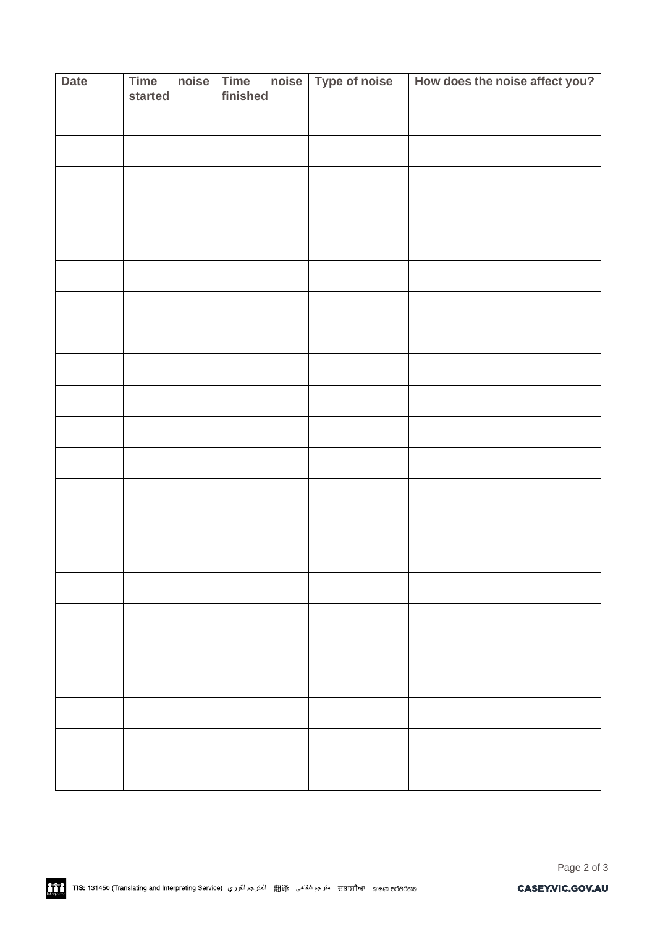| <b>Date</b> | Time<br>started | noise | Time<br>finished | noise Type of noise | How does the noise affect you? |
|-------------|-----------------|-------|------------------|---------------------|--------------------------------|
|             |                 |       |                  |                     |                                |
|             |                 |       |                  |                     |                                |
|             |                 |       |                  |                     |                                |
|             |                 |       |                  |                     |                                |
|             |                 |       |                  |                     |                                |
|             |                 |       |                  |                     |                                |
|             |                 |       |                  |                     |                                |
|             |                 |       |                  |                     |                                |
|             |                 |       |                  |                     |                                |
|             |                 |       |                  |                     |                                |
|             |                 |       |                  |                     |                                |
|             |                 |       |                  |                     |                                |
|             |                 |       |                  |                     |                                |
|             |                 |       |                  |                     |                                |
|             |                 |       |                  |                     |                                |
|             |                 |       |                  |                     |                                |
|             |                 |       |                  |                     |                                |
|             |                 |       |                  |                     |                                |
|             |                 |       |                  |                     |                                |
|             |                 |       |                  |                     |                                |
|             |                 |       |                  |                     |                                |
|             |                 |       |                  |                     |                                |